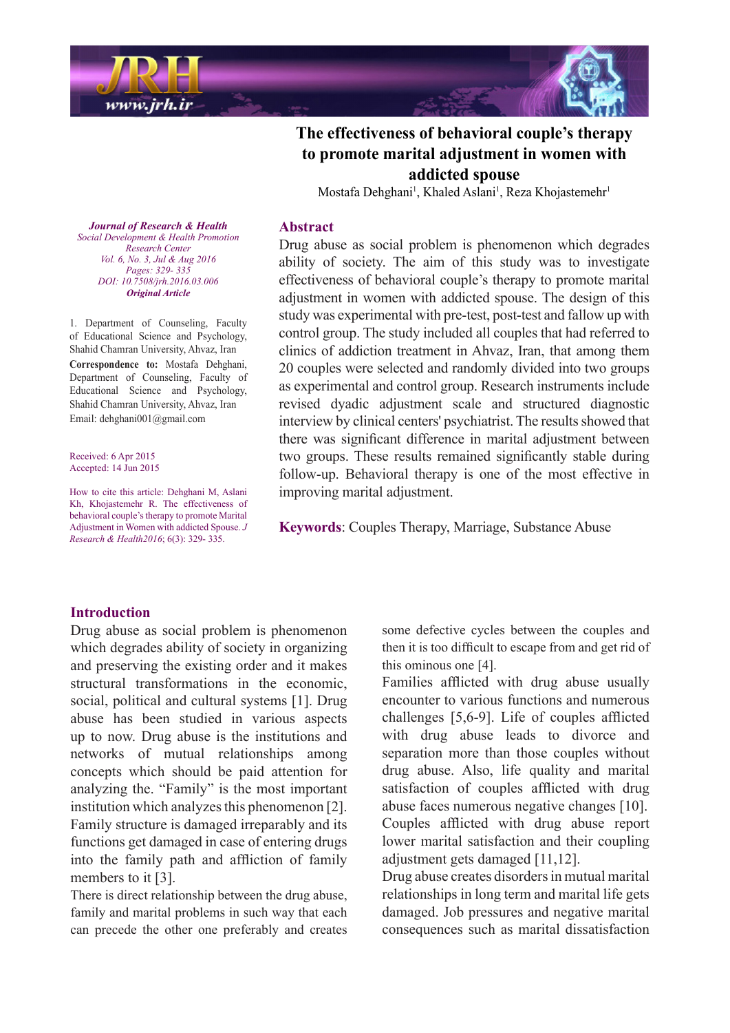



# The effectiveness of behavioral couple's therapy to promote marital adjustment in women with **spouse addicted**

Mostafa Dehghani<sup>1</sup>, Khaled Aslani<sup>1</sup>, Reza Khojastemehr<sup>1</sup>

#### **Abstract**

**Journal of Research & Health**  *Promotion Health & Development Social Center Research Vol. 6, No. 3, Jul & Aug 2016* Pages: 329- 335 *DOI*: 10.7508/jrh.2016.03.006 *Article Original*

1. Department of Counseling, Faculty of Educational Science and Psychology, Shahid Chamran University, Ahvaz, Iran Correspondence to: Mostafa Dehghani, Department of Counseling, Faculty of Educational Science and Psychology, Shahid Chamran University, Ahvaz, Iran Email: dehghani001@gmail.com

Received: 6 Apr 2015 Accepted:  $14 \text{ Jun } 2015$ 

How to cite this article: Dehghani M, Aslani Kh, Khojastemehr R. The effectiveness of behavioral couple's therapy to promote Marital Adjustment in Women with addicted Spouse. J Research & Health 2016; 6(3): 329- 335.

Drug abuse as social problem is phenomenon which degrades ability of society. The aim of this study was to investigate effectiveness of behavioral couple's therapy to promote marital adjustment in women with addicted spouse. The design of this study was experimental with pre-test, post-test and fallow up with control group. The study included all couples that had referred to clinics of addiction treatment in Ahvaz, Iran, that among them 20 couples were selected and randomly divided into two groups as experimental and control group. Research instruments include revised dyadic adjustment scale and structured diagnostic interview by clinical centers' psychiatrist. The results showed that there was significant difference in marital adjustment between two groups. These results remained significantly stable during follow-up. Behavioral therapy is one of the most effective in improving marital adjustment.

Keywords: Couples Therapy, Marriage, Substance Abuse

#### **Introduction**

Drug abuse as social problem is phenomenon which degrades ability of society in organizing and preserving the existing order and it makes structural transformations in the economic, social, political and cultural systems  $[1]$ . Drug abuse has been studied in various aspects up to now. Drug abuse is the institutions and networks of mutual relationships among concepts which should be paid attention for analyzing the. "Family" is the most important institution which analyzes this phenomenon  $[2]$ . Family structure is damaged irreparably and its functions get damaged in case of entering drugs into the family path and affliction of family members to it  $[3]$ .

There is direct relationship between the drug abuse. family and marital problems in such way that each can precede the other one preferably and creates some defective cycles between the couples and then it is too difficult to escape from and get rid of this ominous one  $[4]$ .

Families afflicted with drug abuse usually encounter to various functions and numerous challenges  $[5,6-9]$ . Life of couples afflicted with drug abuse leads to divorce and separation more than those couples without drug abuse. Also, life quality and marital satisfaction of couples afflicted with drug abuse faces numerous negative changes [10]. Couples afflicted with drug abuse report lower marital satisfaction and their coupling adjustment gets damaged  $[11,12]$ .

Drug abuse creates disorders in mutual marital relationships in long term and marital life gets damaged. Job pressures and negative marital consequences such as marital dissatisfaction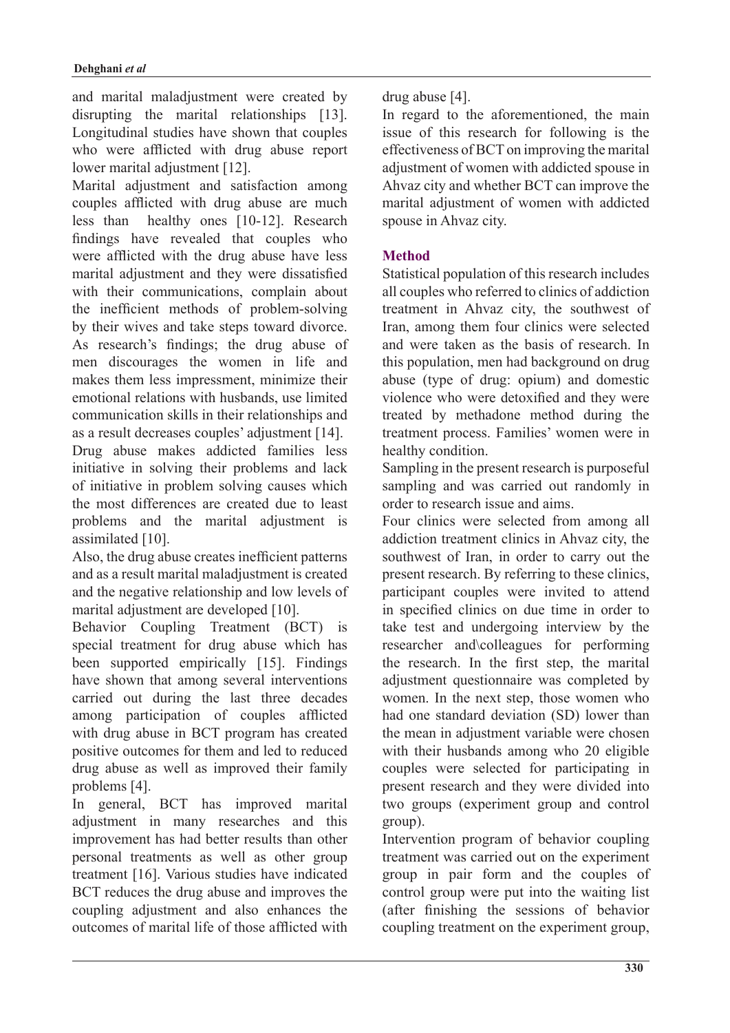and marital maladjustment were created by disrupting the marital relationships  $[13]$ . Longitudinal studies have shown that couples who were afflicted with drug abuse report lower marital adjustment [12].

Marital adjustment and satisfaction among couples afflicted with drug abuse are much  $less than$  healthy ones  $[10-12]$ . Research findings have revealed that couples who were afflicted with the drug abuse have less marital adjustment and they were dissatisfied with their communications, complain about the inefficient methods of problem-solving by their wives and take steps toward divorce. As research's findings; the drug abuse of men discourages the women in life and makes them less impressment, minimize their emotional relations with husbands, use limited communication skills in their relationships and as a result decreases couples' adjustment [14]. Drug abuse makes addicted families less initiative in solving their problems and lack of initiative in problem solving causes which the most differences are created due to least problems and the marital adjustment is assimilated [10].

Also, the drug abuse creates inefficient patterns and as a result marital maladjustment is created and the negative relationship and low levels of marital adjustment are developed [10].

Behavior Coupling Treatment (BCT) is special treatment for drug abuse which has been supported empirically  $[15]$ . Findings have shown that among several interventions carried out during the last three decades among participation of couples afflicted with drug abuse in BCT program has created positive outcomes for them and led to reduced drug abuse as well as improved their family problems [4].

In general, BCT has improved marital adjustment in many researches and this improvement has had better results than other personal treatments as well as other group treatment [16]. Various studies have indicated BCT reduces the drug abuse and improves the coupling adjustment and also enhances the outcomes of marital life of those afflicted with

## $drug$  abuse [4].

In regard to the aforementioned, the main is sue of this research for following is the effectiveness of BCT on improving the marital adjustment of women with addicted spouse in Ahvaz city and whether BCT can improve the marital adjustment of women with addicted spouse in Ahvaz city.

## **Method**

Statistical population of this research includes all couples who referred to clinics of addiction treatment in Ahvaz city, the southwest of Iran, among them four clinics were selected and were taken as the basis of research. In this population, men had background on drug abuse (type of drug: opium) and domestic violence who were detoxified and they were treated by methodone method during the treatment process. Families' women were in healthy condition.

Sampling in the present research is purposeful sampling and was carried out randomly in order to research issue and aims.

Four clinics were selected from among all addiction treatment clinics in Ahvaz city, the southwest of Iran, in order to carry out the present research. By referring to these clinics. participant couples were invited to attend in specified clinics on due time in order to take test and undergoing interview by the researcher and colleagues for performing the research. In the first step, the marital adjustment questionnaire was completed by women. In the next step, those women who had one standard deviation (SD) lower than the mean in adjustment variable were chosen with their husbands among who 20 eligible couples were selected for participating in present research and they were divided into two groups (experiment group and control group).

Intervention program of behavior coupling treatment was carried out on the experiment group in pair form and the couples of control group were put into the waiting list  $a$ fter finishing the sessions of behavior coupling treatment on the experiment group,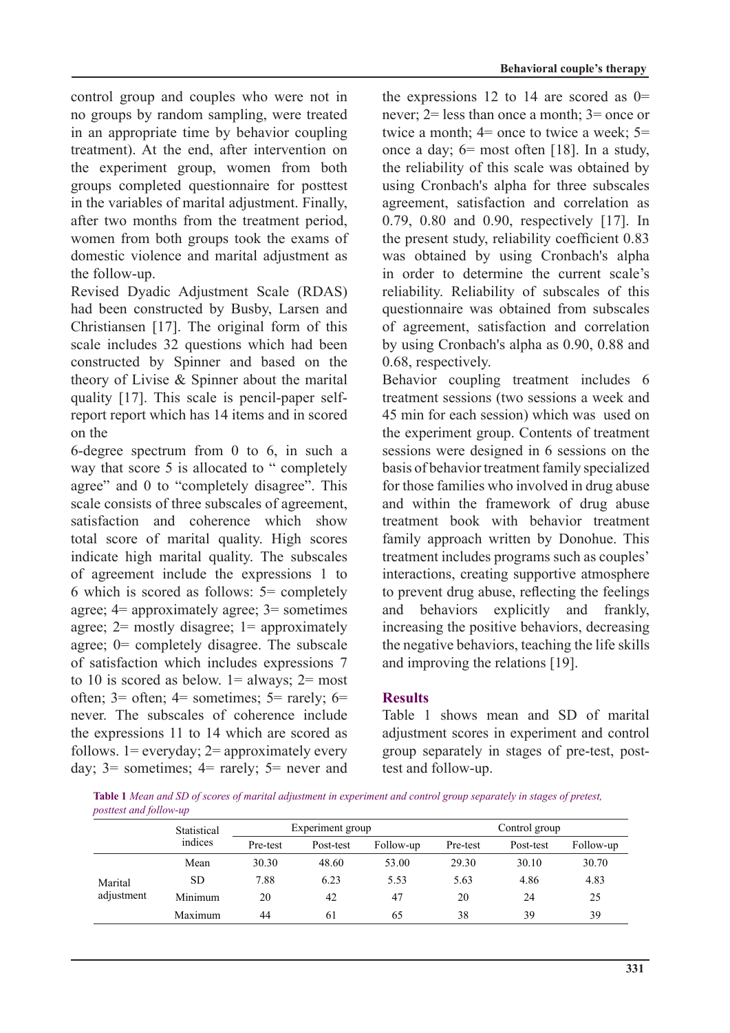control group and couples who were not in no groups by random sampling, were treated in an appropriate time by behavior coupling treatment). At the end, after intervention on the experiment group, women from both groups completed questionnaire for posttest in the variables of marital adjustment. Finally, after two months from the treatment period, women from both groups took the exams of domestic violence and marital adjustment as the follow-up.

Revised Dyadic Adjustment Scale (RDAS) had been constructed by Busby, Larsen and Christiansen  $[17]$ . The original form of this scale includes 32 questions which had been constructed by Spinner and based on the theory of Livise  $\&$  Spinner about the marital report report which has 14 items and in scored quality  $[17]$ . This scale is pencil-paper selfon the

6-degree spectrum from  $\theta$  to 6, in such a way that score 5 is allocated to " completely agree" and 0 to "completely disagree". This scale consists of three subscales of agreement, satisfaction and coherence which show total score of marital quality. High scores indicate high marital quality. The subscales of agreement include the expressions 1 to 6 which is scored as follows:  $5 =$  completely agree;  $4=$  approximately agree;  $3=$  sometimes agree;  $2 =$  mostly disagree;  $1 =$  approximately agree;  $0$ = completely disagree. The subscale of satisfaction which includes expressions 7 to 10 is scored as below.  $1 =$  always;  $2 =$  most often;  $3=$  often;  $4=$  sometimes;  $5=$  rarely;  $6=$ never. The subscales of coherence include the expressions  $11$  to  $14$  which are scored as follows.  $1 =$  everyday;  $2 =$  approximately every day;  $3 =$  sometimes;  $4 =$  rarely;  $5 =$  never and **Behavioral couple's therapy** 

the expressions 12 to 14 are scored as  $0=$ never;  $2 =$  less than once a month;  $3 =$  once or twice a month;  $4$ = once to twice a week;  $5$ = once a day;  $6=$  most often [18]. In a study, the reliability of this scale was obtained by using Cronbach's alpha for three subscales agreement, satisfaction and correlation as 0.79, 0.80 and 0.90, respectively  $[17]$ . In the present study, reliability coefficient 0.83 was obtained by using Cronbach's alpha in order to determine the current scale's reliability. Reliability of subscales of this questionnaire was obtained from subscales of agreement, satisfaction and correlation by using Cronbach's alpha as 0.90, 0.88 and 0.68, respectively.

Behavior coupling treatment includes 6 treatment sessions (two sessions a week and 45 min for each session) which was used on the experiment group. Contents of treatment sessions were designed in 6 sessions on the basis of behavior treatment family specialized for those families who involved in drug abuse and within the framework of drug abuse treatment book with behavior treatment family approach written by Donohue. This treatment includes programs such as couples' interactions, creating supportive atmosphere to prevent drug abuse, reflecting the feelings and behaviors explicitly and frankly, increasing the positive behaviors, decreasing the negative behaviors, teaching the life skills and improving the relations  $[19]$ .

### **Results**

Table 1 shows mean and SD of marital adjustment scores in experiment and control group separately in stages of pre-test, post-<br>test and follow-up.

Table 1 Mean and SD of scores of marital adjustment in experiment and control group separately in stages of pretest, posttest and follow-up

|            | Statistical<br>indices | Experiment group |           |           | Control group |           |           |
|------------|------------------------|------------------|-----------|-----------|---------------|-----------|-----------|
|            |                        | Pre-test         | Post-test | Follow-up | Pre-test      | Post-test | Follow-up |
|            | Mean                   | 30.30            | 48.60     | 53.00     | 29.30         | 30.10     | 30.70     |
| Marital    | <b>SD</b>              | 7.88             | 6.23      | 5.53      | 5.63          | 4.86      | 4.83      |
| adjustment | Minimum                | 20               | 42        | 47        | 20            | 24        | 25        |
|            | Maximum                | 44               | 61        | 65        | 38            | 39        | 39        |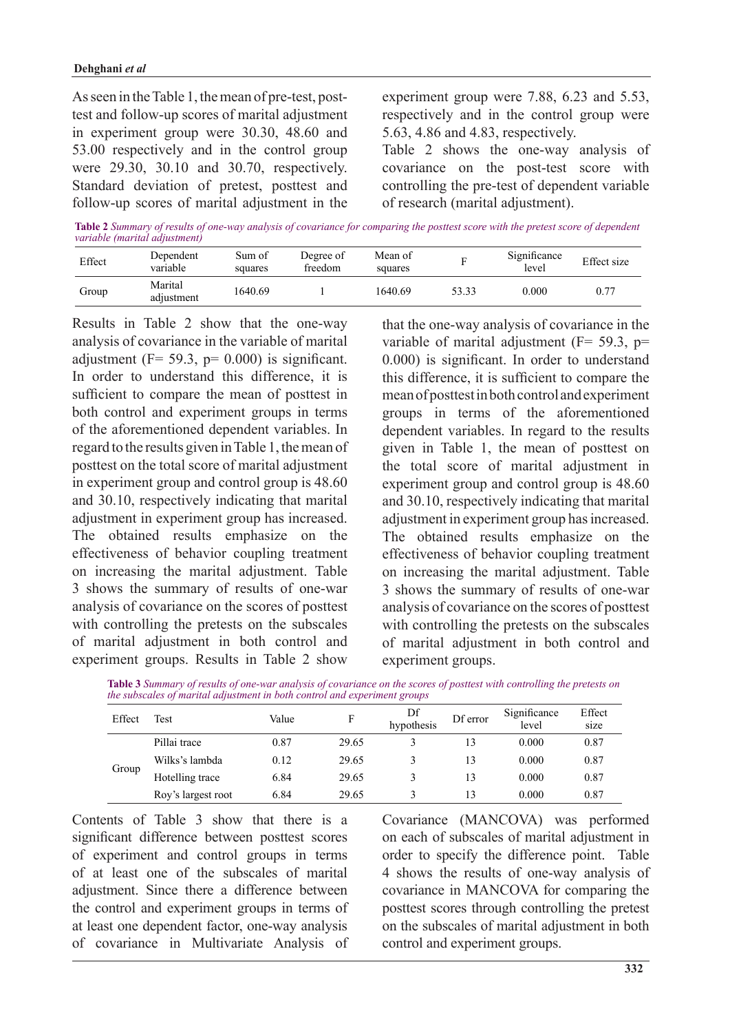test and follow-up scores of marital adjustment As seen in the Table 1, the mean of pre-test, postin experiment group were  $30.30$ ,  $48.60$  and  $53.00$  respectively and in the control group were  $29.30$ ,  $30.10$  and  $30.70$ , respectively. Standard deviation of pretest, posttest and follow-up scores of marital adjustment in the experiment group were  $7.88$ ,  $6.23$  and  $5.53$ , respectively and in the control group were 5.63, 4.86 and 4.83, respectively.

Table 2 shows the one-way analysis of covariance on the post-test score with controlling the pre-test of dependent variable of research (marital adjustment).

**Table 2** Summary of results of one-way analysis of covariance for comparing the posttest score with the pretest score of dependent *variable (marital adjustment)* 

| Effect | Dependent<br>variable | Sum of<br>squares | Degree of<br>freedom | Mean of<br>squares | г     | Significance<br>level | Effect size |
|--------|-----------------------|-------------------|----------------------|--------------------|-------|-----------------------|-------------|
| Group  | Marital<br>adjustment | 1640.69           |                      | 1640.69            | 53.33 | 0.000                 | 0.77        |

Results in Table 2 show that the one-way analysis of covariance in the variable of marital adjustment  $(F = 59.3, p = 0.000)$  is significant. In order to understand this difference, it is sufficient to compare the mean of posttest in both control and experiment groups in terms of the aforementioned dependent variables. In regard to the results given in Table 1, the mean of posttest on the total score of marital adjustment in experiment group and control group is 48.60 and 30.10, respectively indicating that marital adjustment in experiment group has increased. The obtained results emphasize on the effectiveness of behavior coupling treatment on increasing the marital adjustment. Table 3 shows the summary of results of one-war analysis of covariance on the scores of posttest with controlling the pretests on the subscales of marital adjustment in both control and experiment groups. Results in Table 2 show that the one-way analysis of covariance in the variable of marital adjustment ( $F = 59.3$ ,  $p =$  $0.000$ ) is significant. In order to understand this difference, it is sufficient to compare the mean of posttest in both control and experiment groups in terms of the aforementioned dependent variables. In regard to the results given in Table 1, the mean of posttest on the total score of marital adjustment in experiment group and control group is  $48.60$ and  $30.10$ , respectively indicating that marital adjustment in experiment group has increased. The obtained results emphasize on the effectiveness of behavior coupling treatment on increasing the marital adjustment. Table 3 shows the summary of results of one-war analysis of covariance on the scores of posttest with controlling the pretests on the subscales of marital adjustment in both control and experiment groups.

| Table 3 Summary of results of one-war analysis of covariance on the scores of posttest with controlling the pretests on |  |
|-------------------------------------------------------------------------------------------------------------------------|--|
| the subscales of marital adjustment in both control and experiment groups                                               |  |

| Effect | Test               | Value | F     | Df<br>hypothesis | Df error | Significance<br>level | Effect<br>size |
|--------|--------------------|-------|-------|------------------|----------|-----------------------|----------------|
| Group  | Pillai trace       | 0.87  | 29.65 |                  | 13       | 0.000                 | 0.87           |
|        | Wilks's lambda     | 0.12  | 29.65 |                  | 13       | 0.000                 | 0.87           |
|        | Hotelling trace    | 6.84  | 29.65 |                  | 13       | 0.000                 | 0.87           |
|        | Roy's largest root | 6.84  | 29.65 |                  | 13       | 0.000                 | 0.87           |

Contents of Table  $3$  show that there is a significant difference between posttest scores of experiment and control groups in terms of at least one of the subscales of marital adjustment. Since there a difference between the control and experiment groups in terms of at least one dependent factor, one-way analysis of covariance in Multivariate Analysis of Covariance (MANCOVA) was performed on each of subscales of marital adjustment in order to specify the difference point. Table 4 shows the results of one-way analysis of covariance in MANCOVA for comparing the posttest scores through controlling the pretest on the subscales of marital adjustment in both control and experiment groups.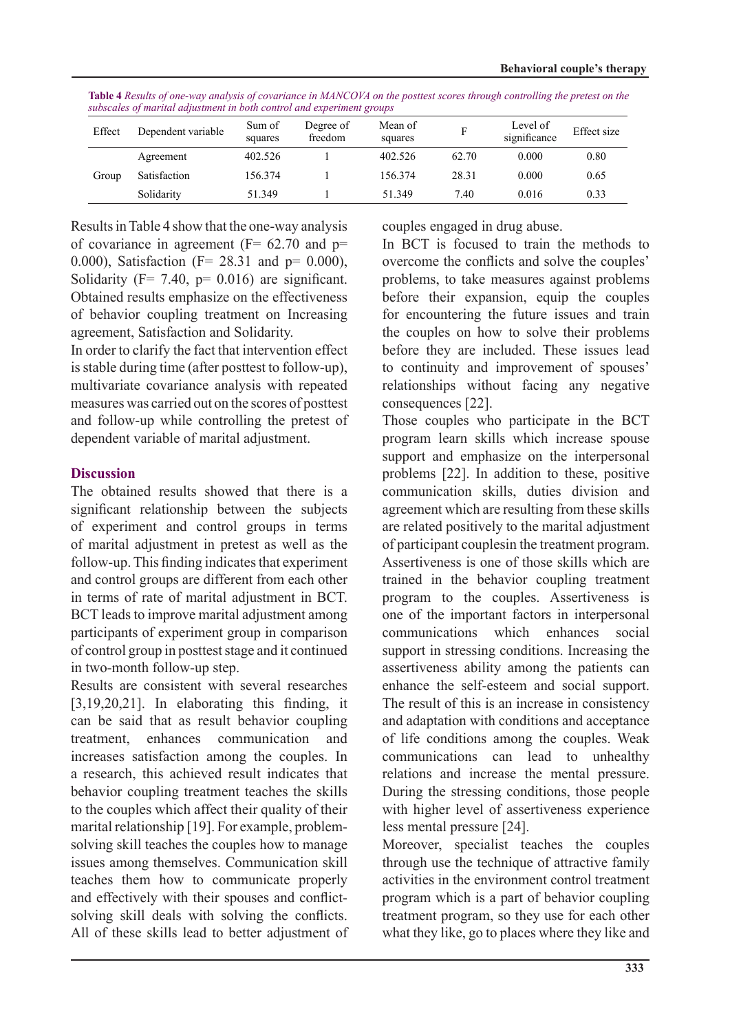| Effect | Dependent variable | Sum of<br>squares | Degree of<br>freedom | Mean of<br>squares |       | Level of<br>significance | Effect size |
|--------|--------------------|-------------------|----------------------|--------------------|-------|--------------------------|-------------|
| Group  | Agreement          | 402.526           |                      | 402.526            | 62.70 | 0.000                    | 0.80        |
|        | Satisfaction       | 156.374           |                      | 156.374            | 28.31 | 0.000                    | 0.65        |
|        | Solidarity         | 51.349            |                      | 51.349             | 7.40  | 0.016                    | 0.33        |

**Table 4** Results of one-way analysis of covariance in MANCOVA on the posttest scores through controlling the pretest on the *gubscales of marital adjustment in both control and experiment group* 

Results in Table 4 show that the one-way analysis of covariance in agreement ( $F = 62.70$  and  $p =$ 0.000), Satisfaction (F=  $28.31$  and p= 0.000), Solidarity ( $F = 7.40$ ,  $p = 0.016$ ) are significant. Obtained results emphasize on the effectiveness of behavior coupling treatment on Increasing agreement, Satisfaction and Solidarity.

In order to clarify the fact that intervention effect is stable during time (after posttest to follow-up), multivariate covariance analysis with repeated measures was carried out on the scores of posttest and follow-up while controlling the pretest of dependent variable of marital adjustment.

### **Discussion**

The obtained results showed that there is a significant relationship between the subjects of experiment and control groups in terms of marital adjustment in pretest as well as the follow-up. This finding indicates that experiment and control groups are different from each other in terms of rate of marital adjustment in BCT. BCT leads to improve marital adjustment among participants of experiment group in comparison of control group in posttest stage and it continued in two-month follow-up step.

Results are consistent with several researches  $[3,19,20,21]$ . In elaborating this finding, it can be said that as result behavior coupling treatment, enhances communication and increases satisfaction among the couples. In a research, this achieved result indicates that behavior coupling treatment teaches the skills to the couples which affect their quality of their solving skill teaches the couples how to manage marital relationship [19]. For example, problemissues among themselves. Communication skill teaches them how to communicate properly solving skill deals with solving the conflicts. and effectively with their spouses and conflict-All of these skills lead to better adjustment of couples engaged in drug abuse.

In BCT is focused to train the methods to overcome the conflicts and solve the couples' problems, to take measures against problems before their expansion, equip the couples for encountering the future issues and train the couples on how to solve their problems before they are included. These issues lead to continuity and improvement of spouses' relationships without facing any negative consequences [22].

Those couples who participate in the BCT program learn skills which increase spouse support and emphasize on the interpersonal problems [22]. In addition to these, positive communication skills, duties division and agreement which are resulting from these skills are related positively to the marital adjustment of participant couplesin the treatment program. Assertiveness is one of those skills which are trained in the behavior coupling treatment program to the couples. Assertiveness is one of the important factors in interpersonal communications which enhances social support in stressing conditions. Increasing the assertiveness ability among the patients can enhance the self-esteem and social support. The result of this is an increase in consistency and adaptation with conditions and acceptance of life conditions among the couples. Weak communications can lead to unhealthy relations and increase the mental pressure. During the stressing conditions, those people with higher level of assertiveness experience less mental pressure [24].

Moreover, specialist teaches the couples through use the technique of attractive family activities in the environment control treatment program which is a part of behavior coupling treatment program, so they use for each other what they like, go to places where they like and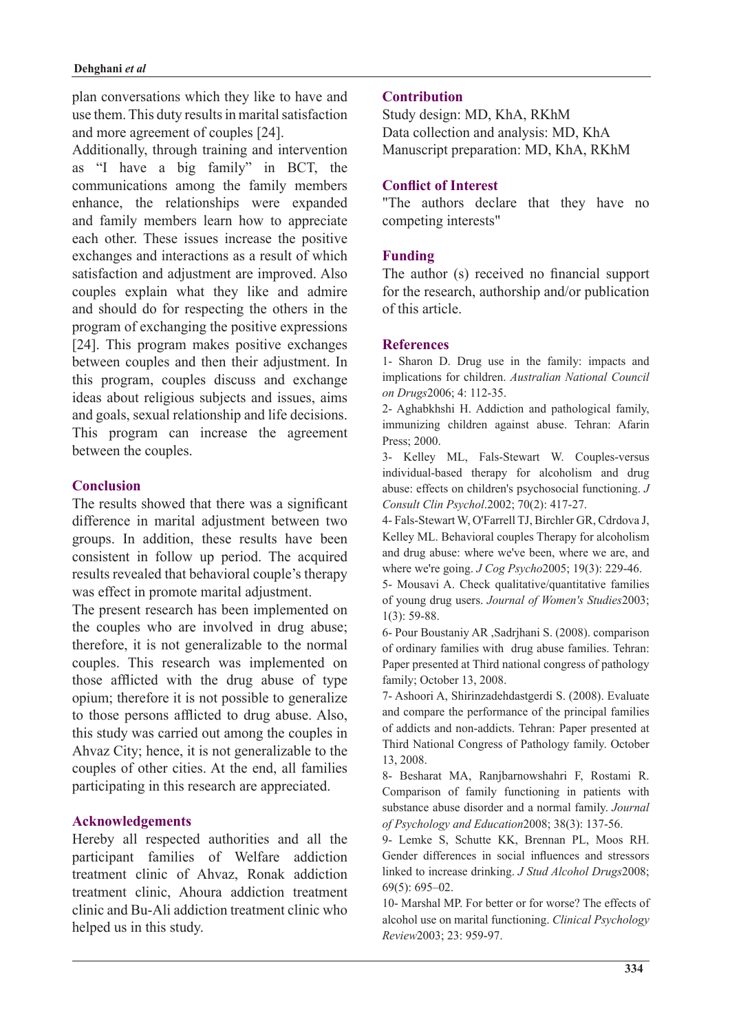plan conversations which they like to have and use them. This duty results in marital satisfaction and more agreement of couples [24].

Additionally, through training and intervention as "I have a big family" in BCT, the communications among the family members enhance, the relationships were expanded and family members learn how to appreciate each other. These issues increase the positive exchanges and interactions as a result of which satisfaction and adjustment are improved. Also couples explain what they like and admire and should do for respecting the others in the program of exchanging the positive expressions [24]. This program makes positive exchanges between couples and then their adjustment. In this program, couples discuss and exchange ideas about religious subjects and issues, aims and goals, sexual relationship and life decisions. This program can increase the agreement between the couples.

#### **Conclusion**

The results showed that there was a significant difference in marital adjustment between two groups. In addition, these results have been consistent in follow up period. The acquired results revealed that behavioral couple's therapy was effect in promote marital adjustment.

The present research has been implemented on the couples who are involved in drug abuse; therefore, it is not generalizable to the normal couples. This research was implemented on those afflicted with the drug abuse of type opium; therefore it is not possible to generalize to those persons afflicted to drug abuse. Also, this study was carried out among the couples in Ahvaz City; hence, it is not generalizable to the couples of other cities. At the end, all families participating in this research are appreciated.

### **Acknowledgements**

Hereby all respected authorities and all the participant families of Welfare addiction treatment clinic of Ahvaz, Ronak addiction treatment clinic, Ahoura addiction treatment clinic and Bu-Ali addiction treatment clinic who helped us in this study.

#### **Contribution**

Study design: MD, KhA, RKhM Data collection and analysis: MD, KhA Manuscript preparation: MD, KhA, RKhM

#### **Conflict of Interest**

"The authors declare that they have no competing interests"

#### **Funding**

The author (s) received no financial support for the research, authorship and/or publication of this article

#### **References**

1- Sharon D. Drug use in the family: impacts and *implications for children. Australian National Council* on Drugs 2006; 4: 112-35.

2- Aghabkhshi H. Addiction and pathological family, immunizing children against abuse. Tehran: Afarin Press: 2000.

3- Kelley ML, Fals-Stewart W. Couples-versus individual-based therapy for alcoholism and drug abuse: effects on children's psychosocial functioning. J Consult Clin Psychol.2002; 70(2): 417-27.

4- Fals-Stewart W. O'Farrell TJ, Birchler GR, Cdrdova J. Kelley ML. Behavioral couples Therapy for alcoholism and drug abuse: where we've been, where we are, and where we're going. *J Cog Psycho* 2005; 19(3): 229-46.

5- Mousavi A. Check qualitative/quantitative families of young drug users. Journal of Women's Studies 2003;  $1(3)$ : 59-88.

6- Pour Boustaniy AR , Sadrjhani S. (2008). comparison of ordinary families with drug abuse families. Tehran: Paper presented at Third national congress of pathology family; October 13, 2008.

7- Ashoori A, Shirinzadehdastgerdi S. (2008). Evaluate and compare the performance of the principal families of addicts and non-addicts. Tehran: Paper presented at Third National Congress of Pathology family. October 13, 2008.

8- Besharat MA, Ranjbarnowshahri F, Rostami R. Comparison of family functioning in patients with substance abuse disorder and a normal family. Journal of Psychology and Education 2008; 38(3): 137-56.

9- Lemke S. Schutte KK, Brennan PL, Moos RH. Gender differences in social influences and stressors linked to increase drinking. *J Stud Alcohol Drugs* 2008;  $69(5)$ : 695-02.

10- Marshal MP. For better or for worse? The effects of alcohol use on marital functioning. *Clinical Psychology* Review2003; 23: 959-97.